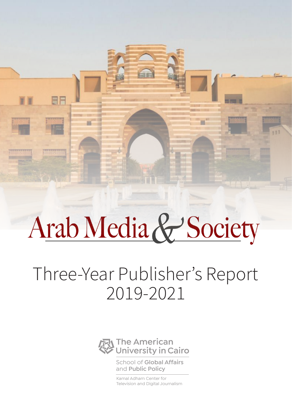# Arab Media & Society

BF

## Three-Year Publisher's Report 2019-2021



School of **Global Affairs**  and **Public Policy**

Kamal Adham Center for Television and Digital Journalism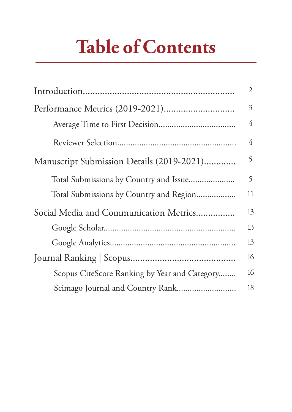## **Table of Contents**

|                                               | $\overline{2}$ |
|-----------------------------------------------|----------------|
|                                               | 3              |
|                                               | 4              |
|                                               | 4              |
| Manuscript Submission Details (2019-2021)     | 5              |
|                                               | 5              |
| Total Submissions by Country and Region       | 11             |
| Social Media and Communication Metrics        | 13             |
|                                               | 13             |
|                                               | 13             |
|                                               | 16             |
| Scopus CiteScore Ranking by Year and Category | 16             |
| Scimago Journal and Country Rank              | 18             |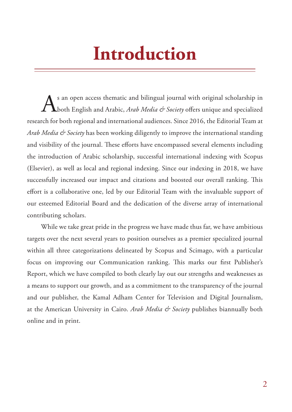## **Introduction**

s an open access thematic and bilingual journal with original scholarship in both English and Arabic, *Arab Media & Society* offers unique and specialized research for both regional and international audiences. Since 2016, the Editorial Team at *Arab Media & Society* has been working diligently to improve the international standing and visibility of the journal. These efforts have encompassed several elements including the introduction of Arabic scholarship, successful international indexing with Scopus (Elsevier), as well as local and regional indexing. Since our indexing in 2018, we have successfully increased our impact and citations and boosted our overall ranking. This effort is a collaborative one, led by our Editorial Team with the invaluable support of our esteemed Editorial Board and the dedication of the diverse array of international contributing scholars.

While we take great pride in the progress we have made thus far, we have ambitious targets over the next several years to position ourselves as a premier specialized journal within all three categorizations delineated by Scopus and Scimago, with a particular focus on improving our Communication ranking. This marks our first Publisher's Report, which we have compiled to both clearly lay out our strengths and weaknesses as a means to support our growth, and as a commitment to the transparency of the journal and our publisher, the Kamal Adham Center for Television and Digital Journalism, at the American University in Cairo. *Arab Media & Society* publishes biannually both online and in print.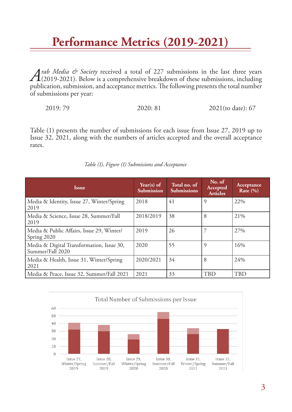## **Performance Metrics (2019-2021)**

*Arab Media & Society* received a total of 227 submissions in the last three years (2019-2021). Below is a comprehensive breakdown of these submissions, including publication, submission, and acceptance metrics. The following presents the total number of submissions per year:

2019: 79 2020: 81 2021(to date): 67

Table (1) presents the number of submissions for each issue from Issue 27, 2019 up to Issue 32, 2021, along with the numbers of articles accepted and the overall acceptance rates.

| <b>Issue</b>                                                  | Year(s) of<br>Submission | Total no. of<br><b>Submissions</b> | No. of<br>Accepted<br><b>Articles</b> | Acceptance<br>Rate $(\% )$ |
|---------------------------------------------------------------|--------------------------|------------------------------------|---------------------------------------|----------------------------|
| Media & Identity, Issue 27, Winter/Spring<br>2019             | 2018                     | 41                                 | 9                                     | 22%                        |
| Media & Science, Issue 28, Summer/Fall<br>2019                | 2018/2019                | 38                                 | 8                                     | 21%                        |
| Media & Public Affairs, Issue 29, Winter/<br>Spring 2020      | 2019                     | 26                                 |                                       | 27%                        |
| Media & Digital Transformation, Issue 30,<br>Summer/Fall 2020 | 2020                     | 55                                 | 9                                     | 16%                        |
| Media & Health, Issue 31, Winter/Spring<br>2021               | 2020/2021                | 34                                 | 8                                     | 24%                        |
| Media & Peace, Issue 32, Summer/Fall 2021                     | 2021                     | 33                                 | <b>TBD</b>                            | <b>TBD</b>                 |

*Table (1), Figure (1) Submissions and Acceptance* 

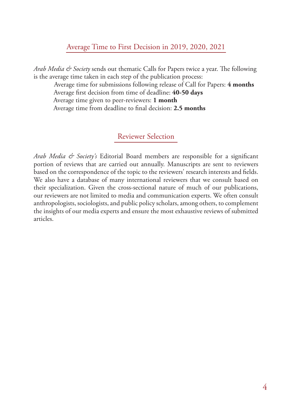## Average Time to First Decision in 2019, 2020, 2021

*Arab Media & Society* sends out thematic Calls for Papers twice a year. The following is the average time taken in each step of the publication process:

 Average time for submissions following release of Call for Papers: **4 months** Average first decision from time of deadline: **40-50 days** Average time given to peer-reviewers: **1 month**

Average time from deadline to final decision: **2.5 months**

## Reviewer Selection

*Arab Media & Society's* Editorial Board members are responsible for a significant portion of reviews that are carried out annually. Manuscripts are sent to reviewers based on the correspondence of the topic to the reviewers' research interests and fields. We also have a database of many international reviewers that we consult based on their specialization. Given the cross-sectional nature of much of our publications, our reviewers are not limited to media and communication experts. We often consult anthropologists, sociologists, and public policy scholars, among others, to complement the insights of our media experts and ensure the most exhaustive reviews of submitted articles.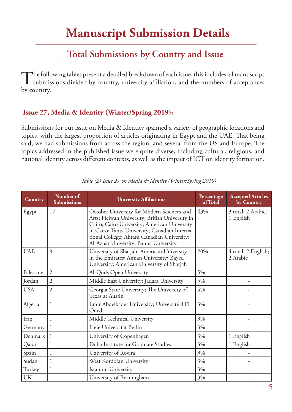## **Total Submissions by Country and Issue**

The following tables present a detailed breakdown of each issue, this includes all manuscript submissions divided by country, university affiliation, and the numbers of acceptances by country.

## **Issue 27, Media & Identity (Winter/Spring 2019):**

Submissions for our issue on Media & Identity spanned a variety of geographic locations and topics, with the largest proportion of articles originating in Egypt and the UAE. That being said, we had submissions from across the region, and several from the US and Europe. The topics addressed in the published issue were quite diverse, including cultural, religious, and national identity across different contexts, as well as the impact of ICT on identity formation.

| Country    | Number of<br><b>Submissions</b> | <b>University Affiliations</b>                                                                                                                                                                                                                                                       | Percentage<br>of Total | <b>Accepted Articles</b><br>by Country |
|------------|---------------------------------|--------------------------------------------------------------------------------------------------------------------------------------------------------------------------------------------------------------------------------------------------------------------------------------|------------------------|----------------------------------------|
| Egypt      | 17                              | October University for Modern Sciences and<br>Arts; Helwan University; British University in<br>Cairo; Cairo University; American University<br>in Cairo; Tanta University; Canadian Interna-<br>tional College; Ahram Canadian University;<br>Al-Azhar University; Banha University | 43%                    | 3 total; 2 Arabic;<br>1 English        |
| <b>UAE</b> | 8                               | University of Sharjah; American University<br>in the Emirates; Ajman University; Zayed<br>University; American University of Sharjah                                                                                                                                                 | 20%                    | 4 total; 2 English;<br>2 Arabic        |
| Palestine  | $\overline{2}$                  | Al-Quds Open University                                                                                                                                                                                                                                                              | 5%                     |                                        |
| Jordan     | $\overline{2}$                  | Middle East University; Jadara University                                                                                                                                                                                                                                            | 5%                     |                                        |
| <b>USA</b> | $\overline{2}$                  | Georgia State University; The University of<br>Texas at Austin                                                                                                                                                                                                                       | 5%                     |                                        |
| Algeria    | 1                               | Emir Abdelkader University; Université d'El<br>Oued                                                                                                                                                                                                                                  | 3%                     |                                        |
| Iraq       | $\mathbf{1}$                    | Middle Technical University                                                                                                                                                                                                                                                          | 3%                     |                                        |
| Germany    | $\mathbf{1}$                    | Freie Universität Berlin                                                                                                                                                                                                                                                             | 3%                     |                                        |
| Denmark    | 1                               | University of Copenhagen                                                                                                                                                                                                                                                             | 3%                     | 1 English                              |
| Qatar      | $\mathbf{1}$                    | Doha Institute for Graduate Studies                                                                                                                                                                                                                                                  | 3%                     | 1 English                              |
| Spain      | $\mathbf{1}$                    | University of Rovira                                                                                                                                                                                                                                                                 | 3%                     |                                        |
| Sudan      | $\mathbf{1}$                    | West Kordofan University                                                                                                                                                                                                                                                             | 3%                     |                                        |
| Turkey     | $\mathbf{1}$                    | Istanbul University                                                                                                                                                                                                                                                                  | 3%                     |                                        |
| <b>UK</b>  | $\mathbf{1}$                    | University of Birmingham                                                                                                                                                                                                                                                             | 3%                     |                                        |

*Table (2) Issue 27 on Media & Identity (Winter/Spring 2019)*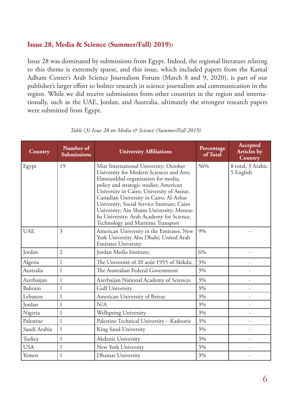## **Issue 28, Media & Science (Summer/Fall) 2019):**

Issue 28 was dominated by submissions from Egypt. Indeed, the regional literature relating to this theme is extremely sparse, and this issue, which included papers from the Kamal Adham Center's Arab Science Journalism Forum (March 8 and 9, 2020), is part of our publisher's larger effort to bolster research in science journalism and communication in the region. While we did receive submissions from other countries in the region and internationally, such as the UAE, Jordan, and Australia, ultimately the strongest research papers were submitted from Egypt.

| Country      | Number of<br><b>Submissions</b> | <b>University Affiliations</b>                                                                                                                                                                                                                                                                                                                                                                                                           | Percentage<br>of Total | <b>Accepted</b><br><b>Articles by</b><br>Country |
|--------------|---------------------------------|------------------------------------------------------------------------------------------------------------------------------------------------------------------------------------------------------------------------------------------------------------------------------------------------------------------------------------------------------------------------------------------------------------------------------------------|------------------------|--------------------------------------------------|
| Egypt        | 19                              | Misr International University; October<br>University for Modern Sciences and Arts;<br>Elmoustkbal organization for media,<br>policy and strategic studies; American<br>University in Cairo; University of Assiut;<br>Canadian University in Cairo; Al-Azhar<br>University; Social Service Institute; Cairo<br>University; Ain Shams University; Menou-<br>fia University; Arab Academy for Science,<br>Technology and Maritime Transport | 56%                    | 8 total, 3 Arabic.<br>5 English                  |
| <b>UAE</b>   | $\overline{3}$                  | American University in the Emirates; New<br>York University Abu Dhabi; United Arab<br><b>Emirates University</b>                                                                                                                                                                                                                                                                                                                         | 9%                     |                                                  |
| Jordan       | $\overline{2}$                  | Jordan Media Institute;                                                                                                                                                                                                                                                                                                                                                                                                                  | 6%                     |                                                  |
| Algeria      | $\mathbf{1}$                    | The Université of 20 août 1955 of Skikda;                                                                                                                                                                                                                                                                                                                                                                                                | 3%                     |                                                  |
| Australia    | $\mathbf{1}$                    | The Australian Federal Government                                                                                                                                                                                                                                                                                                                                                                                                        | 3%                     | ۰                                                |
| Azerbaijan   | $\mathbf{1}$                    | Azerbaijan National Academy of Sciences                                                                                                                                                                                                                                                                                                                                                                                                  | 3%                     | -                                                |
| Bahrain      | $\mathbf{1}$                    | <b>Gulf University</b>                                                                                                                                                                                                                                                                                                                                                                                                                   | 3%                     |                                                  |
| Lebanon      | $\mathbf{1}$                    | American University of Beirut                                                                                                                                                                                                                                                                                                                                                                                                            | 3%                     | ÷                                                |
| Jordan       | $\mathbf{1}$                    | N/A                                                                                                                                                                                                                                                                                                                                                                                                                                      | 3%                     | $\overline{\phantom{0}}$                         |
| Nigeria      | $\mathbf{1}$                    | <b>Wellspring University</b>                                                                                                                                                                                                                                                                                                                                                                                                             | 3%                     |                                                  |
| Palestine    | $\mathbf{1}$                    | Palestine Technical University - Kadoorie                                                                                                                                                                                                                                                                                                                                                                                                | 3%                     | $\overline{\phantom{0}}$                         |
| Saudi Arabia | $\mathbf{1}$                    | King Saud University                                                                                                                                                                                                                                                                                                                                                                                                                     | 3%                     |                                                  |
| Turkey       | $\,1$                           | Akdeniz University                                                                                                                                                                                                                                                                                                                                                                                                                       | 3%                     |                                                  |
| <b>USA</b>   | $\mathbf{1}$                    | New York University                                                                                                                                                                                                                                                                                                                                                                                                                      | 3%                     |                                                  |
| Yemen        | $\mathbf{1}$                    | Dhamar University                                                                                                                                                                                                                                                                                                                                                                                                                        | 3%                     |                                                  |

#### *Table (3) Issue 28 on Media & Science (Summer/Fall 2019)*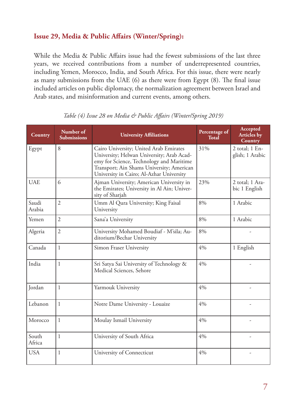## **Issue 29, Media & Public Affairs (Winter/Spring):**

While the Media & Public Affairs issue had the fewest submissions of the last three years, we received contributions from a number of underrepresented countries, including Yemen, Morocco, India, and South Africa. For this issue, there were nearly as many submissions from the UAE (6) as there were from Egypt (8). The final issue included articles on public diplomacy, the normalization agreement between Israel and Arab states, and misinformation and current events, among others.

| Country         | Number of<br><b>Submissions</b> | <b>University Affiliations</b>                                                                                                                                                                                           | Percentage of<br>Total | Accepted<br><b>Articles</b> by<br><b>Country</b> |
|-----------------|---------------------------------|--------------------------------------------------------------------------------------------------------------------------------------------------------------------------------------------------------------------------|------------------------|--------------------------------------------------|
| Egypt           | 8                               | Cairo University; United Arab Emirates<br>University; Helwan University; Arab Acad-<br>emy for Science, Technology and Maritime<br>Transport; Ain Shams University; American<br>University in Cairo; Al-Azhar University | 31%                    | 2 total; 1 En-<br>glish; 1 Arabic                |
| <b>UAE</b>      | 6                               | Ajman University; American University in<br>the Emirates; University in Al Ain; Univer-<br>sity of Sharjah                                                                                                               | 23%                    | 2 total; 1 Ara-<br>bic 1 English                 |
| Saudi<br>Arabia | $\overline{2}$                  | Umm Al Qura University; King Faisal<br>University                                                                                                                                                                        | 8%                     | 1 Arabic                                         |
| Yemen           | $\overline{2}$                  | Sana'a University                                                                                                                                                                                                        | 8%                     | 1 Arabic                                         |
| Algeria         | $\overline{2}$                  | University Mohamed Boudiaf - M'sila; Au-<br>ditorium/Bechar University                                                                                                                                                   | 8%                     |                                                  |
| Canada          | $\mathbf{1}$                    | Simon Fraser University                                                                                                                                                                                                  | 4%                     | 1 English                                        |
| India           | $\mathbf{1}$                    | Sri Satya Sai University of Technology &<br>Medical Sciences, Sehore                                                                                                                                                     | 4%                     |                                                  |
| Jordan          | $\mathbf{1}$                    | Yarmouk University                                                                                                                                                                                                       | 4%                     |                                                  |
| Lebanon         | $\mathbf{1}$                    | Notre Dame University - Louaize                                                                                                                                                                                          | 4%                     |                                                  |
| Morocco         | $\mathbf{1}$                    | Moulay Ismail University                                                                                                                                                                                                 | 4%                     |                                                  |
| South<br>Africa | $\mathbf{1}$                    | University of South Africa                                                                                                                                                                                               | 4%                     |                                                  |
| <b>USA</b>      | $\mathbf{1}$                    | University of Connecticut                                                                                                                                                                                                | 4%                     |                                                  |

*Table (4) Issue 28 on Media & Public Affairs (Winter/Spring 2019)*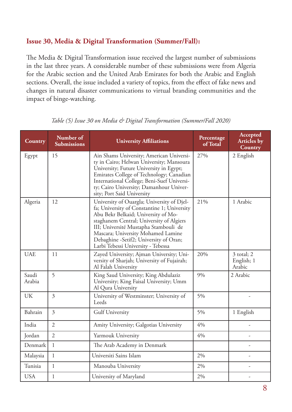## **Issue 30, Media & Digital Transformation (Summer/Fall):**

The Media & Digital Transformation issue received the largest number of submissions in the last three years. A considerable number of these submissions were from Algeria for the Arabic section and the United Arab Emirates for both the Arabic and English sections. Overall, the issue included a variety of topics, from the effect of fake news and changes in natural disaster communications to virtual branding communities and the impact of binge-watching.

| <b>Country</b>  | Number of<br><b>Submissions</b> | <b>University Affiliations</b>                                                                                                                                                                                                                                                                                                              | Percentage<br>of Total | Accepted<br><b>Articles by</b><br><b>Country</b> |
|-----------------|---------------------------------|---------------------------------------------------------------------------------------------------------------------------------------------------------------------------------------------------------------------------------------------------------------------------------------------------------------------------------------------|------------------------|--------------------------------------------------|
| Egypt           | 15                              | Ain Shams University; American Universi-<br>ty in Cairo; Helwan University; Mansoura<br>University; Future University in Egypt;<br>Emirates College of Technology; Canadian<br>International College; Beni-Suef Universi-<br>ty; Cairo University; Damanhour Univer-<br>sity; Port Said University                                          | 27%                    | 2 English                                        |
| Algeria         | 12                              | University of Ouargla; University of Djel-<br>fa; University of Constantine 1; University<br>Abu Bekr Belkaid; University of Mo-<br>staghanem Central; University of Algiers<br>III; Université Mustapha Stambouli de<br>Mascara; University Mohamed Lamine<br>Debaghine -Setif2; University of Oran;<br>Larbi Tebessi University - Tebessa | 21%                    | 1 Arabic                                         |
| <b>UAE</b>      | 11                              | Zayed University; Ajman University; Uni-<br>versity of Sharjah; University of Fujairah;<br>Al Falah University                                                                                                                                                                                                                              | 20%                    | 3 total; 2<br>English; 1<br>Arabic               |
| Saudi<br>Arabia | 5                               | King Saud University; King Abdulaziz<br>University; King Faisal University; Umm<br>Al Qura University                                                                                                                                                                                                                                       | 9%                     | 2 Arabic                                         |
| <b>UK</b>       | $\overline{3}$                  | University of Westminster; University of<br>Leeds                                                                                                                                                                                                                                                                                           | 5%                     |                                                  |
| Bahrain         | $\overline{3}$                  | <b>Gulf University</b>                                                                                                                                                                                                                                                                                                                      | 5%                     | 1 English                                        |
| India           | $\overline{2}$                  | Amity University; Galgotias University                                                                                                                                                                                                                                                                                                      | 4%                     | $\overline{a}$                                   |
| Jordan          | $\overline{2}$                  | Yarmouk University                                                                                                                                                                                                                                                                                                                          | 4%                     |                                                  |
| Denmark         | $\mathbf{1}$                    | The Arab Academy in Denmark                                                                                                                                                                                                                                                                                                                 |                        |                                                  |
| Malaysia        | $\mathbf{1}$                    | Universiti Sains Islam                                                                                                                                                                                                                                                                                                                      | 2%                     |                                                  |
| Tunisia         | $\mathbf{1}$                    | Manouba University                                                                                                                                                                                                                                                                                                                          | 2%                     |                                                  |
| <b>USA</b>      | $\mathbf{1}$                    | University of Maryland                                                                                                                                                                                                                                                                                                                      | 2%                     |                                                  |

*Table (5) Issue 30 on Media & Digital Transformation (Summer/Fall 2020)*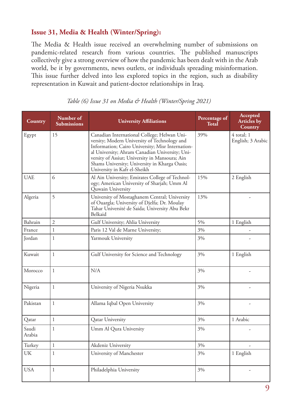## **Issue 31, Media & Health (Winter/Spring):**

The Media & Health issue received an overwhelming number of submissions on pandemic-related research from various countries. The published manuscripts collectively give a strong overview of how the pandemic has been dealt with in the Arab world, be it by governments, news outlets, or individuals spreading misinformation. This issue further delved into less explored topics in the region, such as disability representation in Kuwait and patient-doctor relationships in Iraq.

| Country         | Number of<br><b>Submissions</b> | <b>University Affiliations</b>                                                                                                                                                                                                                                                                                                       | Percentage of<br><b>Total</b> | Accepted<br><b>Articles</b> by<br>Country |
|-----------------|---------------------------------|--------------------------------------------------------------------------------------------------------------------------------------------------------------------------------------------------------------------------------------------------------------------------------------------------------------------------------------|-------------------------------|-------------------------------------------|
| Egypt           | 15                              | Canadian International College; Helwan Uni-<br>versity; Modern University of Technology and<br>Information; Cairo University; Misr Internation-<br>al University; Ahram Canadian University; Uni-<br>versity of Assiut; University in Mansoura; Ain<br>Shams University; University in Kharga Oasis;<br>University in Kafr el-Sheikh | 39%                           | 4 total; 1<br>English; 3 Arabic           |
| <b>UAE</b>      | 6                               | Al Ain University; Emirates College of Technol-<br>ogy; American University of Sharjah; Umm Al<br>Quwain University                                                                                                                                                                                                                  | 15%                           | 2 English                                 |
| Algeria         | 5                               | University of Mostaghanem Central; University<br>of Ouargla; University of Djelfa; Dr. Moulay<br>Tahar Université de Saida; University Abu Bekr<br>Belkaid                                                                                                                                                                           | 13%                           |                                           |
| Bahrain         | $\overline{c}$                  | Gulf University; Ahlia University                                                                                                                                                                                                                                                                                                    | 5%                            | 1 English                                 |
| France          | $\mathbf{1}$                    | Paris 12 Val de Marne University;                                                                                                                                                                                                                                                                                                    | 3%                            |                                           |
| Jordan          | $\mathbf{1}$                    | Yarmouk University                                                                                                                                                                                                                                                                                                                   | 3%                            |                                           |
| Kuwait          | 1                               | Gulf University for Science and Technology                                                                                                                                                                                                                                                                                           | 3%                            | 1 English                                 |
| Morocco         | $\mathbf{1}$                    | N/A                                                                                                                                                                                                                                                                                                                                  | 3%                            |                                           |
| Nigeria         | $\mathbf{1}$                    | University of Nigeria Nsukka                                                                                                                                                                                                                                                                                                         | 3%                            |                                           |
| Pakistan        | $\mathbf{1}$                    | Allama Iqbal Open University                                                                                                                                                                                                                                                                                                         | 3%                            |                                           |
| Qatar           | $\mathbf{1}$                    | <b>Qatar University</b>                                                                                                                                                                                                                                                                                                              | 3%                            | 1 Arabic                                  |
| Saudi<br>Arabia | $\,1$                           | Umm Al Qura University                                                                                                                                                                                                                                                                                                               | $3\%$                         |                                           |
| Turkey          | $\mathbf{1}$                    | Akdeniz University                                                                                                                                                                                                                                                                                                                   | 3%                            |                                           |
| UK              | $\mathbf{1}$                    | University of Manchester                                                                                                                                                                                                                                                                                                             | 3%                            | 1 English                                 |
| <b>USA</b>      | $\mathbf{1}$                    | Philadelphia University                                                                                                                                                                                                                                                                                                              | 3%                            |                                           |

*Table (6) Issue 31 on Media & Health (Winter/Spring 2021)*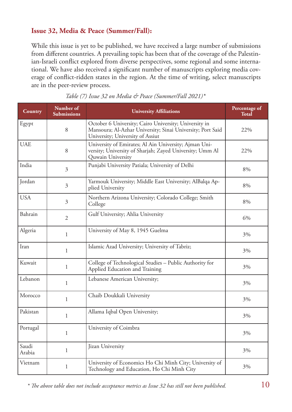## **Issue 32, Media & Peace (Summer/Fall):**

While this issue is yet to be published, we have received a large number of submissions from different countries. A prevailing topic has been that of the coverage of the Palestinian-Israeli conflict explored from diverse perspectives, some regional and some international. We have also received a significant number of manuscripts exploring media coverage of conflict-ridden states in the region. At the time of writing, select manuscripts are in the peer-review process.

| <b>Country</b>  | Number of<br>Submissions | <b>University Affiliations</b>                                                                                                                          | Percentage of<br><b>Total</b> |
|-----------------|--------------------------|---------------------------------------------------------------------------------------------------------------------------------------------------------|-------------------------------|
| Egypt           | 8                        | October 6 University; Cairo University; University in<br>Mansoura; Al-Azhar University; Sinai University; Port Said<br>University; University of Assiut | 22%                           |
| <b>UAE</b>      | 8                        | University of Emirates; Al Ain University; Ajman Uni-<br>versity; University of Sharjah; Zayed University; Umm Al<br>Quwain University                  | 22%                           |
| India           | $\mathfrak{Z}$           | Punjabi University Patiala; University of Delhi                                                                                                         | 8%                            |
| Jordan          | $\overline{3}$           | Yarmouk University; Middle East University; AlBalqa Ap-<br>plied University                                                                             | 8%                            |
| <b>USA</b>      | $\mathfrak{Z}$           | Northern Arizona University; Colorado College; Smith<br>College                                                                                         | 8%                            |
| Bahrain         | $\overline{2}$           | Gulf University; Ahlia University                                                                                                                       | 6%                            |
| Algeria         | 1                        | University of May 8, 1945 Guelma                                                                                                                        | 3%                            |
| Iran            | 1                        | Islamic Azad University; University of Tabriz;                                                                                                          | 3%                            |
| Kuwait          | $\mathbf{1}$             | College of Technological Studies - Public Authority for<br>Applied Education and Training                                                               | 3%                            |
| Lebanon         | 1                        | Lebanese American University;                                                                                                                           | 3%                            |
| Morocco         | 1                        | Chaib Doukkali University                                                                                                                               | 3%                            |
| Pakistan        | 1                        | Allama Iqbal Open University;                                                                                                                           | 3%                            |
| Portugal        | 1                        | University of Coimbra                                                                                                                                   | 3%                            |
| Saudi<br>Arabia | $\mathbf{1}$             | Jizan University                                                                                                                                        | 3%                            |
| Vietnam         | $\mathbf{1}$             | University of Economics Ho Chi Minh City; University of<br>Technology and Education, Ho Chi Minh City                                                   | 3%                            |

 $^{\ast}$  The above table does not include acceptance metrics as Issue 32 has still not been published.  $10$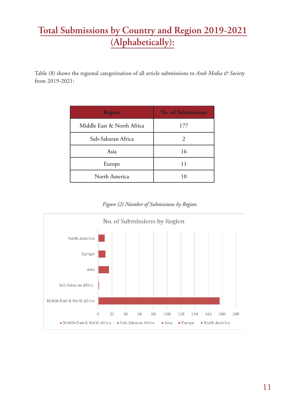## **Total Submissions by Country and Region 2019-2021 (Alphabetically):**

Table (8) shows the regional categorization of all article submissions to *Arab Media & Society* from 2019-2021:

| <b>Region</b>              | <b>No. of Submissions</b> |
|----------------------------|---------------------------|
| Middle East & North Africa | 177                       |
| Sub-Saharan Africa         | 2                         |
| Asia                       | 16                        |
| Europe                     | 11                        |
| North America              |                           |

*Figure (2) Number of Submissions by Region*

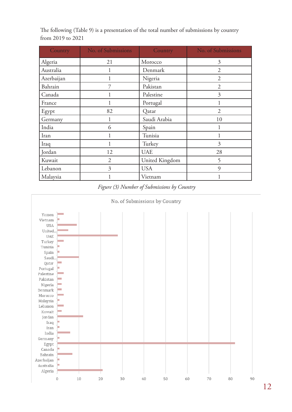The following (Table 9) is a presentation of the total number of submissions by country from 2019 to 2021

| Country    | No. of Submissions | Country        | No. of Submissions |
|------------|--------------------|----------------|--------------------|
| Algeria    | 21                 | Morocco        | 3                  |
| Australia  | 1                  | Denmark        | $\mathfrak{D}$     |
| Azerbaijan |                    | Nigeria        | $\overline{2}$     |
| Bahrain    | 7                  | Pakistan       | $\overline{2}$     |
| Canada     |                    | Palestine      | 3                  |
| France     |                    | Portugal       |                    |
| Egypt      | 82                 | Qatar          | $\overline{2}$     |
| Germany    | 1                  | Saudi Arabia   | 10                 |
| India      | 6                  | Spain          |                    |
| Iran       | 1                  | Tunisia        |                    |
| Iraq       |                    | Turkey         | 3                  |
| Jordan     | 12                 | <b>UAE</b>     | 28                 |
| Kuwait     | $\overline{2}$     | United Kingdom | 5                  |
| Lebanon    | 3                  | <b>USA</b>     | 9                  |
| Malaysia   |                    | Vietnam        |                    |



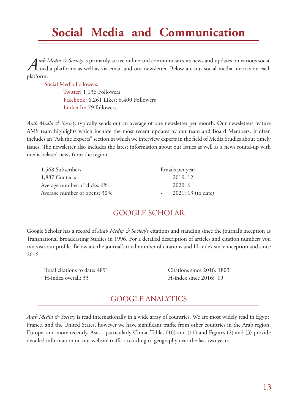## **Social Media and Communication**

*Arab Media & Society* is primarily active online and communicates its news and updates on various social media platforms as well as via email and our newsletter. Below are our social media metrics on each platform.

 Social Media Followers: Twitter: 1,136 Followers Facebook: 6,261 Likes; 6,400 Followers LinkedIn: 79 followers

*Arab Media & Society* typically sends out an average of one newsletter per month. Our newsletters feature AMS team highlights which include the most recent updates by our team and Board Members. It often includes an "Ask the Experts" section in which we interview experts in the field of Media Studies about timely issues. The newsletter also includes the latest information about our Issues as well as a news round-up with media-related news from the region.

| 1,568 Subscribers            | Emails per year:   |
|------------------------------|--------------------|
| 1,887 Contacts               | $-2019:12$         |
| Average number of clicks: 4% | 2020:6             |
| Average number of opens: 30% | 2021: 13 (to date) |

## GOOGLE SCHOLAR

Google Scholar has a record of *Arab Media & Society*'s citations and standing since the journal's inception as Transnational Broadcasting Studies in 1996. For a detailed description of articles and citation numbers you can visit our profile. Below are the journal's total number of citations and H-index since inception and since 2016.

Total citations to date: 4891 Citations since 2016: 1803 H-index overall: 33 H-index since 2016: 19

## GOOGLE ANALYTICS

*Arab Media & Society* is read internationally in a wide array of countries. We are most widely read in Egypt, France, and the United States, however we have significant traffic from other countries in the Arab region, Europe, and more recently, Asia—particularly China. Tables (10) and (11) and Figures (2) and (3) provide detailed information on our website traffic according to geography over the last two years.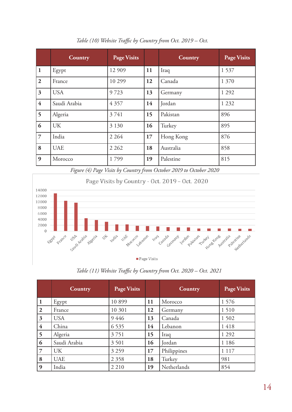|                         | Country      | <b>Page Visits</b> |           | Country   | <b>Page Visits</b> |
|-------------------------|--------------|--------------------|-----------|-----------|--------------------|
| $\mathbf{1}$            | Egypt        | 12 909             | 11        | Iraq      | 1 5 3 7            |
| $\overline{2}$          | France       | 10 299             | 12        | Canada    | 1 370              |
| $\overline{\mathbf{3}}$ | <b>USA</b>   | 9723               | 13        | Germany   | 1 2 9 2            |
| $\overline{\mathbf{4}}$ | Saudi Arabia | 4 3 5 7            | 14        | Jordan    | 1 2 3 2            |
| 5                       | Algeria      | 3741               | 15        | Pakistan  | 896                |
| 6                       | UK           | 3 1 3 0            | <b>16</b> | Turkey    | 895                |
| $\overline{7}$          | India        | 2 2 6 4            | 17        | Hong Kong | 876                |
| 8                       | <b>UAE</b>   | 2 2 6 2            | 18        | Australia | 858                |
| $\boldsymbol{9}$        | Morocco      | 1799               | 19        | Palestine | 815                |

*Table (10) Website Traffic by Country from Oct. 2019 – Oct.* 

*Figure (4) Page Visits by Country from October 2019 to October 2020*



*Table (11) Website Traffic by Country from Oct. 2020 – Oct. 2021*

|                | Country      | <b>Page Visits</b> |           | Country     | <b>Page Visits</b> |
|----------------|--------------|--------------------|-----------|-------------|--------------------|
| 1              | Egypt        | 10899              | 11        | Morocco     | 1 5 7 6            |
| $\overline{2}$ | France       | 10 301             | 12        | Germany     | 1510               |
| 3              | <b>USA</b>   | 9446               | 13        | Canada      | 1 5 0 2            |
| $\overline{4}$ | China        | 6 5 3 5            | 14        | Lebanon     | 1418               |
| 5              | Algeria      | 3751               | 15        | Iraq        | 1 2 9 2            |
| 6              | Saudi Arabia | 3 5 0 1            | <b>16</b> | Jordan      | 1 1 8 6            |
| $\overline{7}$ | <b>UK</b>    | 3 2 5 9            | 17        | Philippines | 1 1 1 7            |
| 8              | <b>UAE</b>   | 2 3 5 8            | 18        | Turkey      | 981                |
| 9              | India        | 2 2 1 0            | 19        | Netherlands | 854                |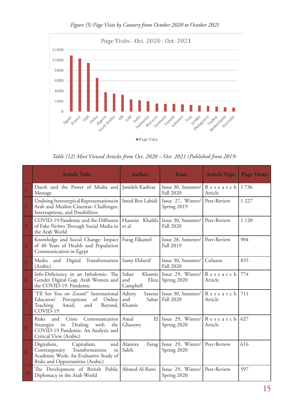

*Figure (5) Page Visits by Country from October 2020 to October 2021*

*Table (12) Most Viewed Articles from Oct. 2020 – Oct. 2021 (Published from 2019-*

|                | <b>Article Title</b>                                                                                                                                    | <b>Author</b>                     | <b>Issue</b>                                  | <b>Article Type</b>    | <b>Page Views</b> |
|----------------|---------------------------------------------------------------------------------------------------------------------------------------------------------|-----------------------------------|-----------------------------------------------|------------------------|-------------------|
| $\mathbf{1}$   | Daesh and the Power of Media and Jamileh Kadivar<br>Message                                                                                             |                                   | Issue 30, Summer/<br><b>Fall 2020</b>         | $R$ esearch<br>Article | 1736              |
| $\overline{2}$ | Undoing Stereotypical Representations in<br>Arab and Muslim Cinemas: Challenges,<br>Interruptions, and Possibilities                                    | Imed Ben Labidi                   | Issue 27, Winter/<br>Spring 2019              | Peer-Review            | 1 2 2 7           |
| $\mathfrak{Z}$ | COVID-19 Pandemic and the Diffusion<br>of Fake Ne4ws Through Social Media in<br>the Arab World                                                          | Hussein Khalifa<br>et al.         | Issue 30, Summer/<br><b>Fall 2020</b>         | Peer-Review            | 1 1 2 0           |
| $\overline{4}$ | Knowledge and Social Change: Impact<br>of 40 Years of Health and Population<br>Communication in Egypt                                                   | Farag Elkamel                     | Issue 28, Summer/<br><b>Fall 2019</b>         | Peer-Review            | 904               |
| $\overline{5}$ | and Digital Transformation<br>Media<br>(Arabic)                                                                                                         | Samy Elsherif                     | Issue 30, Summer/<br><b>Fall 2020</b>         | Column                 | 835               |
| 6              | Info-Deficiency in an Infodemic: The<br>Gender Digital Gap, Arab Women and<br>the COVID-19. Pandemic                                                    | Sahar<br>and<br>Eliza<br>Campbell | Khamis Issue 29, Winter<br>Spring 2020        | Research<br>Article    | 774               |
| $\overline{7}$ | "I'll See You on Zoom!" International<br>Perceptions<br>of<br>Online<br>Educators'<br>Teaching<br>Amid,<br>and<br>Beyond,<br>COVID-19                   | Adioty<br>and<br>Sahar<br>Khamis  | Saxena   Issue 30, Summer<br><b>Fall 2020</b> | Research<br>Article    | 711               |
| 8              | Communication<br>Risks<br>Crisis<br>and<br>Dealing<br>with<br>Strategies<br>in<br>the<br>COVID-19 Pandemic: An Analytic and<br>Critical View (Arabic)   | Amal<br>E1<br>Ghazawy             | Issue 29, Winter/<br>Spring 2020              | Research<br>Article    | 627               |
| 9              | Digitalism,<br>Capitalism,<br>and<br>Transformations<br>Contemporary<br>in<br>Academic Work: An Evaluative Study of<br>Risks and Opportunities (Arabic) | Alamira<br>Farag<br>Saleh         | Issue 29, Winter/<br>Spring 2020              | Peer-Review            | 616               |
| 10             | The Development of British Public   Ahmed Al-Rawi<br>Diplomacy in the Arab World                                                                        |                                   | Issue 29, Winter/<br>Spring 2020              | Peer-Review            | 597               |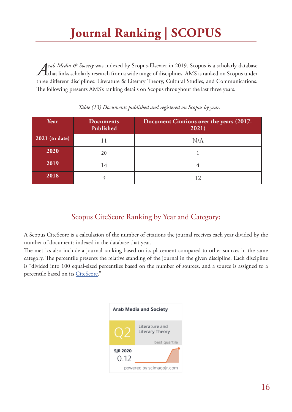*Arab Media & Society* was indexed by Scopus-Elsevier in 2019. Scopus is a scholarly database<br>that links scholarly research from a wide range of disciplines. AMS is ranked on Scopus under three different disciplines: Literature & Literary Theory, Cultural Studies, and Communications. The following presents AMS's ranking details on Scopus throughout the last three years.

| Year             | <b>Documents</b><br>Published | Document Citations over the years (2017-<br>2021) |
|------------------|-------------------------------|---------------------------------------------------|
| $2021$ (to date) |                               | N/A                                               |
| 2020             | 20                            |                                                   |
| 2019             | 4                             |                                                   |
| 2018             |                               |                                                   |

### *Table (13) Documents published and registered on Scopus by year:*

## Scopus CiteScore Ranking by Year and Category:

A Scopus CiteScore is a calculation of the number of citations the journal receives each year divided by the number of documents indexed in the database that year.

The metrics also include a journal ranking based on its placement compared to other sources in the same category. The percentile presents the relative standing of the journal in the given discipline. Each discipline is "divided into 100 equal-sized percentiles based on the number of sources, and a source is assigned to a percentile based on its CiteScore."

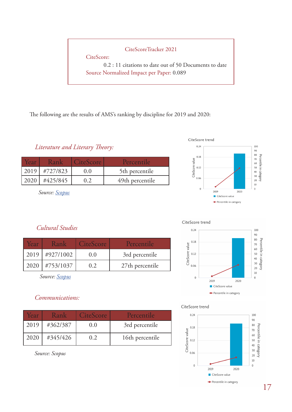### CiteScoreTracker 2021

CiteScore:

 0.2 : 11 citations to date out of 50 Documents to date Source Normalized Impact per Paper: 0.089

The following are the results of AMS's ranking by discipline for 2019 and 2020:

*Literature and Literary Theory:*

| <b>Car</b> | $\sqrt{2nV}$ | CiteScore | Percentile      |
|------------|--------------|-----------|-----------------|
| 2019       | #727/823     |           | 5th percentile  |
|            | #425/845     |           | 49th percentile |

*Source: Scopus*



## *Cultural Studies*

| Year | Rank             | CiteScore | Percentile      |
|------|------------------|-----------|-----------------|
|      | $2019$ #927/1002 | 0.0       | 3rd percentile  |
| 2020 | $\#753/1037$     | 02        | 27th percentile |

*Source: Scopus*

## *Communications:*

| Year | Rank     | CiteScore | Percentile      |
|------|----------|-----------|-----------------|
| 2019 | #362/387 | (0, 0)    | 3rd percentile  |
| 2020 | #345/426 | 0.2       | 16th percentile |

*Source: Scopus*

#### CiteScore trend



#### CiteScore trend